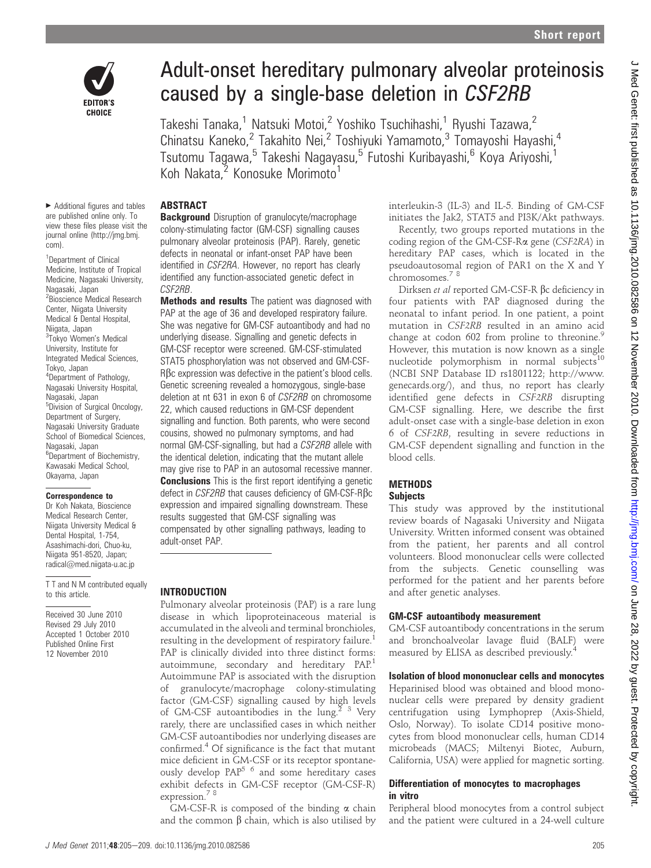

# Adult-onset hereditary pulmonary alveolar proteinosis caused by a single-base deletion in CSF2RB

Takeshi Tanaka,<sup>1</sup> Natsuki Motoi,<sup>2</sup> Yoshiko Tsuchihashi,<sup>1</sup> Ryushi Tazawa,<sup>2</sup> Chinatsu Kaneko,<sup>2</sup> Takahito Nei,<sup>2</sup> Toshiyuki Yamamoto,<sup>3</sup> Tomayoshi Hayashi,<sup>4</sup> Tsutomu Tagawa,<sup>5</sup> Takeshi Nagayasu,<sup>5</sup> Futoshi Kuribayashi,<sup>6</sup> Koya Ariyoshi,<sup>1</sup> Koh Nakata.<sup>2</sup> Konosuke Morimoto<sup>1</sup>

#### $\blacktriangleright$  Additional figures and tables are published online only. To view these files please visit the journal online (http://jmg.bmj.

com).

<sup>1</sup>Department of Clinical Medicine, Institute of Tropical Medicine, Nagasaki University, Nagasaki, Japan <sup>2</sup> Bioscience Medical Research Center, Niigata University Medical & Dental Hospital, Niigata, Japan <sup>3</sup>Tokyo Women's Medical University, Institute for Integrated Medical Sciences, Tokyo, Japan 4 Department of Pathology, Nagasaki University Hospital, Nagasaki, Japan 5 Division of Surgical Oncology, Department of Surgery, Nagasaki University Graduate School of Biomedical Sciences, Nagasaki, Japan <sup>6</sup>Department of Biochemistry, Kawasaki Medical School, Okayama, Japan

#### Correspondence to

Dr Koh Nakata, Bioscience Medical Research Center, Niigata University Medical & Dental Hospital, 1-754, Asashimachi-dori, Chuo-ku, Niigata 951-8520, Japan; radical@med.niigata-u.ac.jp

T T and N M contributed equally to this article.

Received 30 June 2010 Revised 29 July 2010 Accepted 1 October 2010 Published Online First 12 November 2010

### ABSTRACT

**Background** Disruption of granulocyte/macrophage colony-stimulating factor (GM-CSF) signalling causes pulmonary alveolar proteinosis (PAP). Rarely, genetic defects in neonatal or infant-onset PAP have been identified in CSF2RA. However, no report has clearly identified any function-associated genetic defect in CSF2RB.

**Methods and results** The patient was diagnosed with PAP at the age of 36 and developed respiratory failure. She was negative for GM-CSF autoantibody and had no underlying disease. Signalling and genetic defects in GM-CSF receptor were screened. GM-CSF-stimulated STAT5 phosphorylation was not observed and GM-CSF-RBc expression was defective in the patient's blood cells. Genetic screening revealed a homozygous, single-base deletion at nt 631 in exon 6 of CSF2RB on chromosome 22, which caused reductions in GM-CSF dependent signalling and function. Both parents, who were second cousins, showed no pulmonary symptoms, and had normal GM-CSF-signalling, but had a CSF2RB allele with the identical deletion, indicating that the mutant allele may give rise to PAP in an autosomal recessive manner. **Conclusions** This is the first report identifying a genetic defect in CSF2RB that causes deficiency of GM-CSF-Rβc expression and impaired signalling downstream. These results suggested that GM-CSF signalling was

compensated by other signalling pathways, leading to adult-onset PAP.

#### INTRODUCTION

Pulmonary alveolar proteinosis (PAP) is a rare lung disease in which lipoproteinaceous material is accumulated in the alveoli and terminal bronchioles, resulting in the development of respiratory failure. PAP is clinically divided into three distinct forms: autoimmune, secondary and hereditary PAP.<sup>1</sup> Autoimmune PAP is associated with the disruption of granulocyte/macrophage colony-stimulating factor (GM-CSF) signalling caused by high levels of GM-CSF autoantibodies in the lung.<sup>2</sup> <sup>3</sup> Very rarely, there are unclassified cases in which neither GM-CSF autoantibodies nor underlying diseases are confirmed.4 Of significance is the fact that mutant mice deficient in GM-CSF or its receptor spontaneously develop  $PAP^{5.6}$  and some hereditary cases exhibit defects in GM-CSF receptor (GM-CSF-R) expression.<sup>78</sup>

GM-CSF-R is composed of the binding  $\alpha$  chain and the common  $\beta$  chain, which is also utilised by interleukin-3 (IL-3) and IL-5. Binding of GM-CSF initiates the Jak2, STAT5 and PI3K/Akt pathways.

Recently, two groups reported mutations in the coding region of the GM-CSF-Ra gene (CSF2RA) in hereditary PAP cases, which is located in the pseudoautosomal region of PAR1 on the X and Y chromosomes.<sup>7</sup> <sup>8</sup>

Dirksen et al reported GM-CSF-R bc deficiency in four patients with PAP diagnosed during the neonatal to infant period. In one patient, a point mutation in CSF2RB resulted in an amino acid change at codon 602 from proline to threonine.<sup>9</sup> However, this mutation is now known as a single nucleotide polymorphism in normal subjects $10$ (NCBI SNP Database ID rs1801122; http://www. genecards.org/), and thus, no report has clearly identified gene defects in CSF2RB disrupting GM-CSF signalling. Here, we describe the first adult-onset case with a single-base deletion in exon 6 of CSF2RB, resulting in severe reductions in GM-CSF dependent signalling and function in the blood cells.

## **METHODS**

#### **Subjects**

This study was approved by the institutional review boards of Nagasaki University and Niigata University. Written informed consent was obtained from the patient, her parents and all control volunteers. Blood mononuclear cells were collected from the subjects. Genetic counselling was performed for the patient and her parents before and after genetic analyses.

#### GM-CSF autoantibody measurement

GM-CSF autoantibody concentrations in the serum and bronchoalveolar lavage fluid (BALF) were measured by ELISA as described previously.4

#### Isolation of blood mononuclear cells and monocytes

Heparinised blood was obtained and blood mononuclear cells were prepared by density gradient centrifugation using Lymphoprep (Axis-Shield, Oslo, Norway). To isolate CD14 positive monocytes from blood mononuclear cells, human CD14 microbeads (MACS; Miltenyi Biotec, Auburn, California, USA) were applied for magnetic sorting.

#### Differentiation of monocytes to macrophages in vitro

Peripheral blood monocytes from a control subject and the patient were cultured in a 24-well culture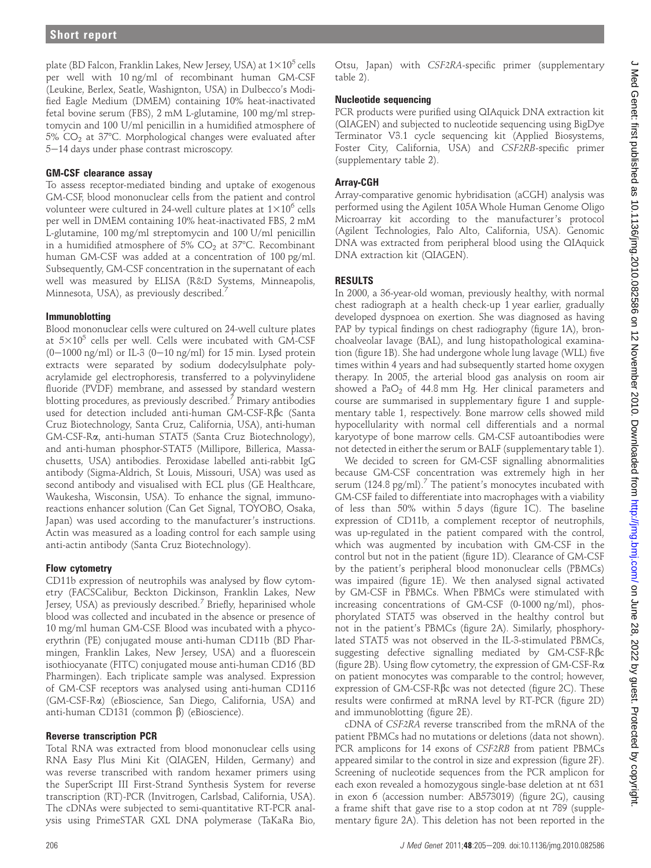plate (BD Falcon, Franklin Lakes, New Jersey, USA) at  $1\times10^5$  cells per well with 10 ng/ml of recombinant human GM-CSF (Leukine, Berlex, Seatle, Washignton, USA) in Dulbecco's Modified Eagle Medium (DMEM) containing 10% heat-inactivated fetal bovine serum (FBS), 2 mM L-glutamine, 100 mg/ml streptomycin and 100 U/ml penicillin in a humidified atmosphere of  $5\%$  CO<sub>2</sub> at  $37^{\circ}$ C. Morphological changes were evaluated after 5-14 days under phase contrast microscopy.

#### GM-CSF clearance assay

To assess receptor-mediated binding and uptake of exogenous GM-CSF, blood mononuclear cells from the patient and control volunteer were cultured in 24-well culture plates at  $1\times10^6$  cells per well in DMEM containing 10% heat-inactivated FBS, 2 mM L-glutamine, 100 mg/ml streptomycin and 100 U/ml penicillin in a humidified atmosphere of 5%  $CO<sub>2</sub>$  at 37°C. Recombinant human GM-CSF was added at a concentration of 100 pg/ml. Subsequently, GM-CSF concentration in the supernatant of each well was measured by ELISA (R&D Systems, Minneapolis, Minnesota, USA), as previously described.<sup>7</sup>

#### Immunoblotting

Blood mononuclear cells were cultured on 24-well culture plates at  $5\times10^5$  cells per well. Cells were incubated with GM-CSF  $(0-1000 \text{ ng/ml})$  or IL-3  $(0-10 \text{ ng/ml})$  for 15 min. Lysed protein extracts were separated by sodium dodecylsulphate polyacrylamide gel electrophoresis, transferred to a polyvinylidene fluoride (PVDF) membrane, and assessed by standard western blotting procedures, as previously described.<sup>7</sup> Primary antibodies used for detection included anti-human GM-CSF-Rbc (Santa Cruz Biotechnology, Santa Cruz, California, USA), anti-human GM-CSF-Ra, anti-human STAT5 (Santa Cruz Biotechnology), and anti-human phosphor-STAT5 (Millipore, Billerica, Massachusetts, USA) antibodies. Peroxidase labelled anti-rabbit IgG antibody (Sigma-Aldrich, St Louis, Missouri, USA) was used as second antibody and visualised with ECL plus (GE Healthcare, Waukesha, Wisconsin, USA). To enhance the signal, immunoreactions enhancer solution (Can Get Signal, TOYOBO, Osaka, Japan) was used according to the manufacturer's instructions. Actin was measured as a loading control for each sample using anti-actin antibody (Santa Cruz Biotechnology).

#### Flow cytometry

CD11b expression of neutrophils was analysed by flow cytometry (FACSCalibur, Beckton Dickinson, Franklin Lakes, New Jersey, USA) as previously described.<sup>7</sup> Briefly, heparinised whole blood was collected and incubated in the absence or presence of 10 mg/ml human GM-CSF. Blood was incubated with a phycoerythrin (PE) conjugated mouse anti-human CD11b (BD Pharmingen, Franklin Lakes, New Jersey, USA) and a fluorescein isothiocyanate (FITC) conjugated mouse anti-human CD16 (BD Pharmingen). Each triplicate sample was analysed. Expression of GM-CSF receptors was analysed using anti-human CD116 (GM-CSF-Ra) (eBioscience, San Diego, California, USA) and anti-human CD131 (common  $\beta$ ) (eBioscience).

#### Reverse transcription PCR

Total RNA was extracted from blood mononuclear cells using RNA Easy Plus Mini Kit (QIAGEN, Hilden, Germany) and was reverse transcribed with random hexamer primers using the SuperScript III First-Strand Synthesis System for reverse transcription (RT)-PCR (Invitrogen, Carlsbad, California, USA). The cDNAs were subjected to semi-quantitative RT-PCR analysis using PrimeSTAR GXL DNA polymerase (TaKaRa Bio,

Otsu, Japan) with CSF2RA-specific primer (supplementary table 2).

#### Nucleotide sequencing

PCR products were purified using QIAquick DNA extraction kit (QIAGEN) and subjected to nucleotide sequencing using BigDye Terminator V3.1 cycle sequencing kit (Applied Biosystems, Foster City, California, USA) and CSF2RB-specific primer (supplementary table 2).

#### Array-CGH

Array-comparative genomic hybridisation (aCGH) analysis was performed using the Agilent 105A Whole Human Genome Oligo Microarray kit according to the manufacturer's protocol (Agilent Technologies, Palo Alto, California, USA). Genomic DNA was extracted from peripheral blood using the QIAquick DNA extraction kit (QIAGEN).

#### RESULTS

In 2000, a 36-year-old woman, previously healthy, with normal chest radiograph at a health check-up 1 year earlier, gradually developed dyspnoea on exertion. She was diagnosed as having PAP by typical findings on chest radiography (figure 1A), bronchoalveolar lavage (BAL), and lung histopathological examination (figure 1B). She had undergone whole lung lavage (WLL) five times within 4 years and had subsequently started home oxygen therapy. In 2005, the arterial blood gas analysis on room air showed a  $PaO<sub>2</sub>$  of 44.8 mm Hg. Her clinical parameters and course are summarised in supplementary figure 1 and supplementary table 1, respectively. Bone marrow cells showed mild hypocellularity with normal cell differentials and a normal karyotype of bone marrow cells. GM-CSF autoantibodies were not detected in either the serum or BALF (supplementary table 1).

We decided to screen for GM-CSF signalling abnormalities because GM-CSF concentration was extremely high in her serum (124.8 pg/ml).<sup>7</sup> The patient's monocytes incubated with GM-CSF failed to differentiate into macrophages with a viability of less than 50% within 5 days (figure 1C). The baseline expression of CD11b, a complement receptor of neutrophils, was up-regulated in the patient compared with the control, which was augmented by incubation with GM-CSF in the control but not in the patient (figure 1D). Clearance of GM-CSF by the patient's peripheral blood mononuclear cells (PBMCs) was impaired (figure 1E). We then analysed signal activated by GM-CSF in PBMCs. When PBMCs were stimulated with increasing concentrations of GM-CSF (0-1000 ng/ml), phosphorylated STAT5 was observed in the healthy control but not in the patient's PBMCs (figure 2A). Similarly, phosphorylated STAT5 was not observed in the IL-3-stimulated PBMCs, suggesting defective signalling mediated by GM-CSF-Rbc (figure 2B). Using flow cytometry, the expression of GM-CSF-Ra on patient monocytes was comparable to the control; however, expression of GM-CSF-Rbc was not detected (figure 2C). These results were confirmed at mRNA level by RT-PCR (figure 2D) and immunoblotting (figure 2E).

cDNA of CSF2RA reverse transcribed from the mRNA of the patient PBMCs had no mutations or deletions (data not shown). PCR amplicons for 14 exons of CSF2RB from patient PBMCs appeared similar to the control in size and expression (figure 2F). Screening of nucleotide sequences from the PCR amplicon for each exon revealed a homozygous single-base deletion at nt 631 in exon 6 (accession number: AB573019) (figure 2G), causing a frame shift that gave rise to a stop codon at nt 789 (supplementary figure 2A). This deletion has not been reported in the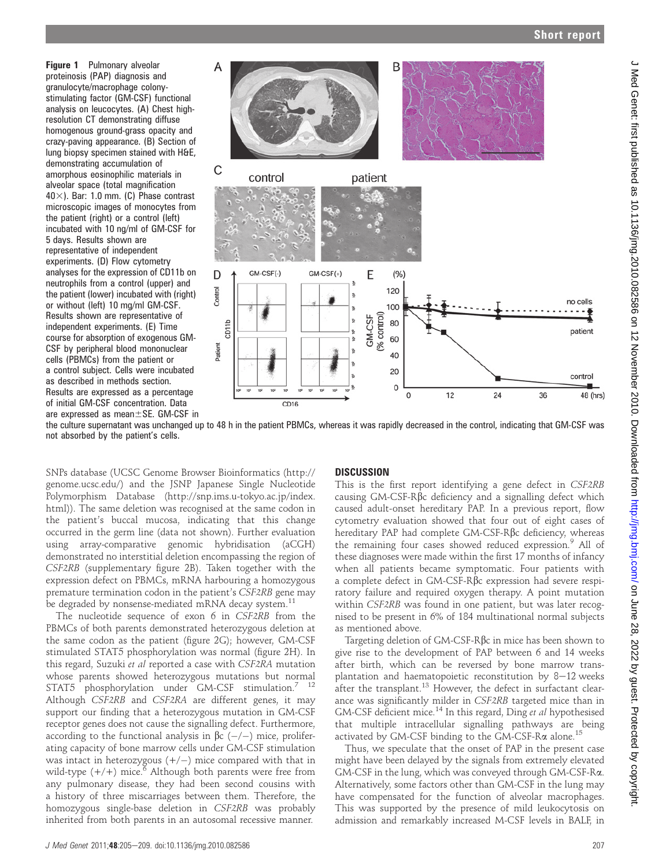Figure 1 Pulmonary alveolar proteinosis (PAP) diagnosis and granulocyte/macrophage colonystimulating factor (GM-CSF) functional analysis on leucocytes. (A) Chest highresolution CT demonstrating diffuse homogenous ground-grass opacity and crazy-paving appearance. (B) Section of lung biopsy specimen stained with H&E, demonstrating accumulation of amorphous eosinophilic materials in alveolar space (total magnification  $40\times$ ). Bar: 1.0 mm. (C) Phase contrast microscopic images of monocytes from the patient (right) or a control (left) incubated with 10 ng/ml of GM-CSF for 5 days. Results shown are representative of independent experiments. (D) Flow cytometry analyses for the expression of CD11b on neutrophils from a control (upper) and the patient (lower) incubated with (right) or without (left) 10 mg/ml GM-CSF. Results shown are representative of independent experiments. (E) Time course for absorption of exogenous GM-CSF by peripheral blood mononuclear cells (PBMCs) from the patient or a control subject. Cells were incubated as described in methods section. Results are expressed as a percentage of initial GM-CSF concentration. Data are expressed as mean $\pm$ SE. GM-CSF in



the culture supernatant was unchanged up to 48 h in the patient PBMCs, whereas it was rapidly decreased in the control, indicating that GM-CSF was not absorbed by the patient's cells.

SNPs database (UCSC Genome Browser Bioinformatics (http:// genome.ucsc.edu/) and the JSNP Japanese Single Nucleotide Polymorphism Database (http://snp.ims.u-tokyo.ac.jp/index. html)). The same deletion was recognised at the same codon in the patient's buccal mucosa, indicating that this change occurred in the germ line (data not shown). Further evaluation using array-comparative genomic hybridisation (aCGH) demonstrated no interstitial deletion encompassing the region of CSF2RB (supplementary figure 2B). Taken together with the expression defect on PBMCs, mRNA harbouring a homozygous premature termination codon in the patient's CSF2RB gene may be degraded by nonsense-mediated mRNA decay system.<sup>11</sup>

The nucleotide sequence of exon 6 in CSF2RB from the PBMCs of both parents demonstrated heterozygous deletion at the same codon as the patient (figure 2G); however, GM-CSF stimulated STAT5 phosphorylation was normal (figure 2H). In this regard, Suzuki et al reported a case with CSF2RA mutation whose parents showed heterozygous mutations but normal STAT5 phosphorylation under GM-CSF stimulation.<sup>7</sup> <sup>12</sup> Although CSF2RB and CSF2RA are different genes, it may support our finding that a heterozygous mutation in GM-CSF receptor genes does not cause the signalling defect. Furthermore, according to the functional analysis in  $\beta c$  (-/-) mice, proliferating capacity of bone marrow cells under GM-CSF stimulation was intact in heterozygous  $(+/-)$  mice compared with that in wild-type  $(+/+)$  mice.<sup>6</sup> Although both parents were free from any pulmonary disease, they had been second cousins with a history of three miscarriages between them. Therefore, the homozygous single-base deletion in CSF2RB was probably inherited from both parents in an autosomal recessive manner.

#### **DISCUSSION**

This is the first report identifying a gene defect in CSF2RB causing GM-CSF-Rbc deficiency and a signalling defect which caused adult-onset hereditary PAP. In a previous report, flow cytometry evaluation showed that four out of eight cases of hereditary PAP had complete GM-CSF-Rbc deficiency, whereas the remaining four cases showed reduced expression.<sup>9</sup> All of these diagnoses were made within the first 17 months of infancy when all patients became symptomatic. Four patients with a complete defect in GM-CSF-Rbc expression had severe respiratory failure and required oxygen therapy. A point mutation within CSF2RB was found in one patient, but was later recognised to be present in 6% of 184 multinational normal subjects as mentioned above.

Targeting deletion of  $GM$ -CSF-R $\beta$ c in mice has been shown to give rise to the development of PAP between 6 and 14 weeks after birth, which can be reversed by bone marrow transplantation and haematopoietic reconstitution by  $8-12$  weeks after the transplant.<sup>13</sup> However, the defect in surfactant clearance was significantly milder in CSF2RB targeted mice than in GM-CSF deficient mice.<sup>14</sup> In this regard, Ding et al hypothesised that multiple intracellular signalling pathways are being activated by GM-CSF binding to the GM-CSF-R $\alpha$  alone.<sup>15</sup>

Thus, we speculate that the onset of PAP in the present case might have been delayed by the signals from extremely elevated GM-CSF in the lung, which was conveyed through GM-CSF-Ra. Alternatively, some factors other than GM-CSF in the lung may have compensated for the function of alveolar macrophages. This was supported by the presence of mild leukocytosis on admission and remarkably increased M-CSF levels in BALF, in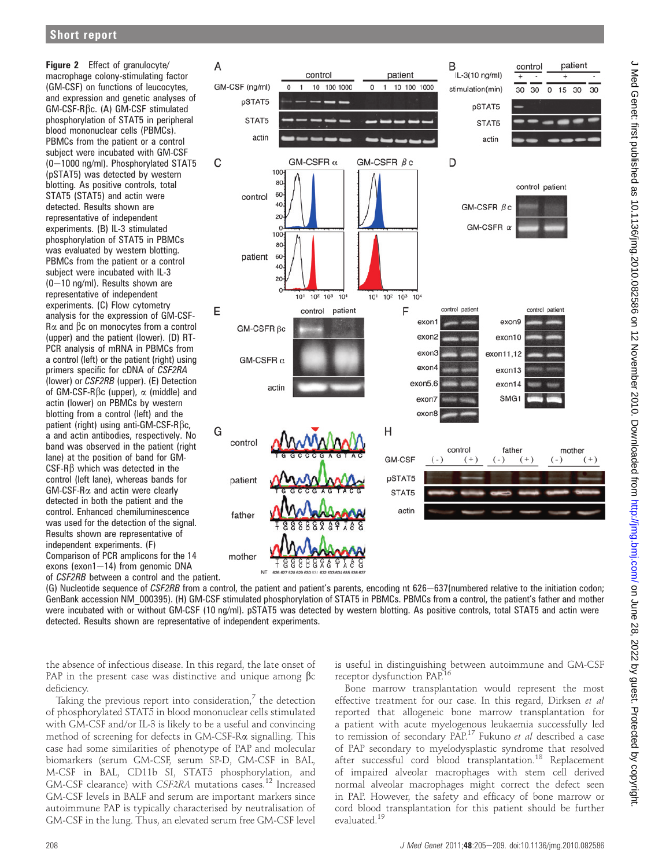Figure 2 Effect of granulocyte/ macrophage colony-stimulating factor (GM-CSF) on functions of leucocytes, and expression and genetic analyses of GM-CSF-Rbc. (A) GM-CSF stimulated phosphorylation of STAT5 in peripheral blood mononuclear cells (PBMCs). PBMCs from the patient or a control subject were incubated with GM-CSF  $(0-1000 \text{ ng/ml})$ . Phosphorylated STAT5 (pSTAT5) was detected by western blotting. As positive controls, total STAT5 (STAT5) and actin were detected. Results shown are representative of independent experiments. (B) IL-3 stimulated phosphorylation of STAT5 in PBMCs was evaluated by western blotting. PBMCs from the patient or a control subject were incubated with IL-3  $(0-10 \text{ ng/ml})$ . Results shown are representative of independent experiments. (C) Flow cytometry analysis for the expression of GM-CSF- $R\alpha$  and  $\beta c$  on monocytes from a control (upper) and the patient (lower). (D) RT-PCR analysis of mRNA in PBMCs from a control (left) or the patient (right) using primers specific for cDNA of CSF2RA (lower) or CSF2RB (upper). (E) Detection of GM-CSF-R $\beta$ c (upper),  $\alpha$  (middle) and actin (lower) on PBMCs by western blotting from a control (left) and the patient (right) using anti-GM-CSF-R $\beta$ c, a and actin antibodies, respectively. No band was observed in the patient (right lane) at the position of band for GM- $CSF-R\beta$  which was detected in the control (left lane), whereas bands for GM-CSF-Ra and actin were clearly detected in both the patient and the control. Enhanced chemiluminescence was used for the detection of the signal. Results shown are representative of independent experiments. (F) Comparison of PCR amplicons for the 14 exons (exon1 $-14$ ) from genomic DNA of CSF2RB between a control and the patient.



(G) Nucleotide sequence of CSF2RB from a control, the patient and patient's parents, encoding nt 626-637(numbered relative to the initiation codon; GenBank accession NM\_000395). (H) GM-CSF stimulated phosphorylation of STAT5 in PBMCs. PBMCs from a control, the patient's father and mother were incubated with or without GM-CSF (10 ng/ml). pSTAT5 was detected by western blotting. As positive controls, total STAT5 and actin were detected. Results shown are representative of independent experiments.

the absence of infectious disease. In this regard, the late onset of PAP in the present case was distinctive and unique among  $\beta c$ deficiency.

Taking the previous report into consideration, $\frac{7}{7}$  the detection of phosphorylated STAT5 in blood mononuclear cells stimulated with GM-CSF and/or IL-3 is likely to be a useful and convincing method of screening for defects in GM-CSF-Ra signalling. This case had some similarities of phenotype of PAP and molecular biomarkers (serum GM-CSF, serum SP-D, GM-CSF in BAL, M-CSF in BAL, CD11b SI, STAT5 phosphorylation, and GM-CSF clearance) with CSF2RA mutations cases.<sup>12</sup> Increased GM-CSF levels in BALF and serum are important markers since autoimmune PAP is typically characterised by neutralisation of GM-CSF in the lung. Thus, an elevated serum free GM-CSF level

is useful in distinguishing between autoimmune and GM-CSF receptor dysfunction PAP.16

Bone marrow transplantation would represent the most effective treatment for our case. In this regard, Dirksen et al reported that allogeneic bone marrow transplantation for a patient with acute myelogenous leukaemia successfully led to remission of secondary PAP.17 Fukuno et al described a case of PAP secondary to myelodysplastic syndrome that resolved after successful cord blood transplantation.<sup>18</sup> Replacement of impaired alveolar macrophages with stem cell derived normal alveolar macrophages might correct the defect seen in PAP. However, the safety and efficacy of bone marrow or cord blood transplantation for this patient should be further evaluated.<sup>19</sup>